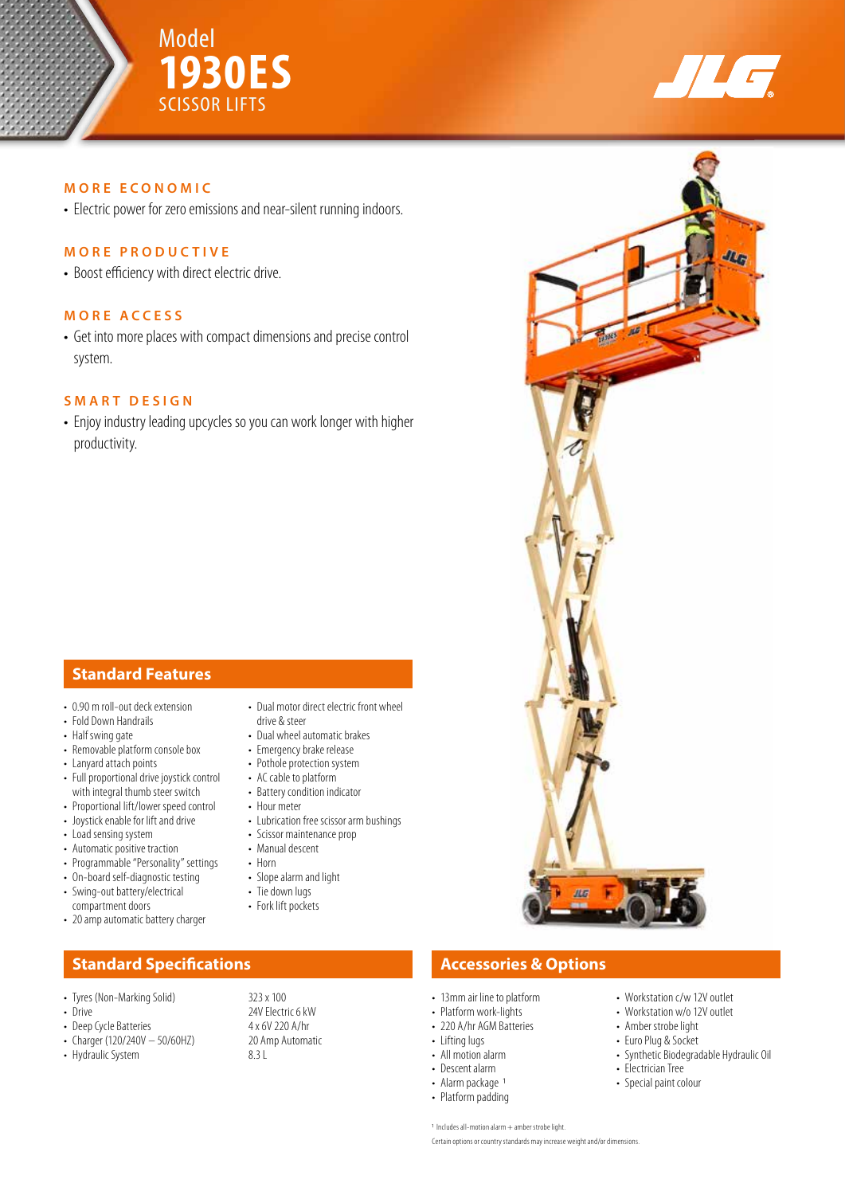



 $q_{ln}$ 

### **MORE ECONOMIC**

• Electric power for zero emissions and near-silent running indoors.

### **MORE PRODUCTIVE**

• Boost efficiency with direct electric drive.

### **MORE ACCESS**

• Get into more places with compact dimensions and precise control system.

## **SMART DESIGN**

• Enjoy industry leading upcycles so you can work longer with higher productivity.

# **Standard Features**

- 0.90 m roll-out deck extension
- Fold Down Handrails
- Half swing gate
- Removable platform console box
- Lanyard attach points
- Full proportional drive joystick control with integral thumb steer switch
- Proportional lift/lower speed control
- Joystick enable for lift and drive
- Load sensing system
- Automatic positive traction
- Programmable "Personality" settings
- On-board self-diagnostic testing
- Swing-out battery/electrical compartment doors
- 20 amp automatic battery charger

# **Standard Specifications Accessories & Options**

- 
- 
- 
- Deep Cycle Batteries 4 x 6V 220 A/hr<br>• Charger (120/240V 50/60HZ) 20 Amp Automatic • Charger (120/240V  $-$  50/60HZ)
- Hydraulic System 8.3 L
- Dual motor direct electric front wheel drive & steer
- Dual wheel automatic brakes
- Emergency brake release
- Pothole protection system
- AC cable to platform
- Battery condition indicator
- Hour meter
- Lubrication free scissor arm bushings
- Scissor maintenance prop
- 
- Horn
- 
- 
- 

- 13mm air line to platform
- Platform work-lights
- 220 A/hr AGM Batteries
- Lifting lugs
- All motion alarm
- Descent alarm
- Alarm package 1
- Platform padding
- Workstation w/o 12V outlet
- Amber strobe light
- Euro Plug & Socket
- Synthetic Biodegradable Hydraulic Oil
- 
- 

1 Includes all-motion alarm + amber strobe light. Certain options or country standards may increase weight and/or dimensions.

- Workstation c/w 12V outlet
- 
- 
- 
- Electrician Tree
- Special paint colour

- 
- 
- Manual descent
- 
- Slope alarm and light
- Tie down lugs
- Fork lift pockets

• Tyres (Non-Marking Solid) 323 x 100<br>• Drive 24V Electr 24V Electric 6 kW<br>4 x 6V 220 A/hr